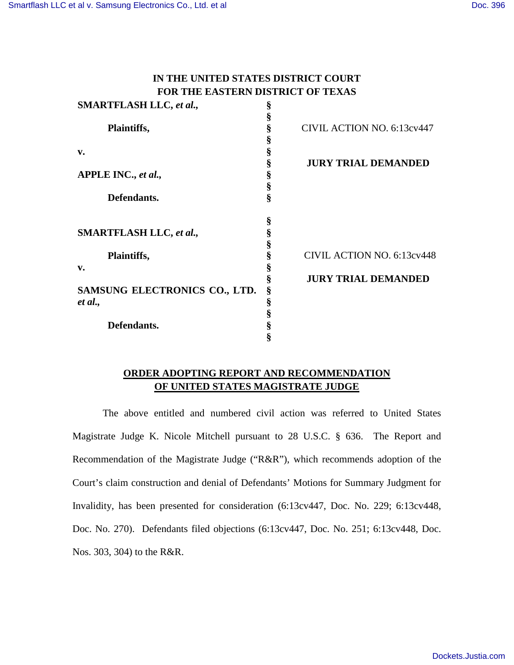# **IN THE UNITED STATES DISTRICT COURT FOR THE EASTERN DISTRICT OF TEXAS**

| <b>SMARTFLASH LLC, et al.,</b> | § |                                   |
|--------------------------------|---|-----------------------------------|
|                                | § |                                   |
| Plaintiffs,                    | § | CIVIL ACTION NO. 6:13cv447        |
|                                | § |                                   |
| v.                             | § |                                   |
|                                | Ş | <b>JURY TRIAL DEMANDED</b>        |
| APPLE INC., et al.,            | § |                                   |
|                                | § |                                   |
| Defendants.                    | ş |                                   |
|                                | § |                                   |
| <b>SMARTFLASH LLC, et al.,</b> | § |                                   |
|                                | § |                                   |
| Plaintiffs,                    | ş | <b>CIVIL ACTION NO. 6:13cv448</b> |
| v.                             | § |                                   |
|                                | § | <b>JURY TRIAL DEMANDED</b>        |
| SAMSUNG ELECTRONICS CO., LTD.  | § |                                   |
| et al.,                        | § |                                   |
|                                |   |                                   |
| Defendants.                    | § |                                   |
|                                |   |                                   |

## **ORDER ADOPTING REPORT AND RECOMMENDATION OF UNITED STATES MAGISTRATE JUDGE**

The above entitled and numbered civil action was referred to United States Magistrate Judge K. Nicole Mitchell pursuant to 28 U.S.C. § 636. The Report and Recommendation of the Magistrate Judge ("R&R"), which recommends adoption of the Court's claim construction and denial of Defendants' Motions for Summary Judgment for Invalidity, has been presented for consideration (6:13cv447, Doc. No. 229; 6:13cv448, Doc. No. 270). Defendants filed objections (6:13cv447, Doc. No. 251; 6:13cv448, Doc. Nos. 303, 304) to the R&R.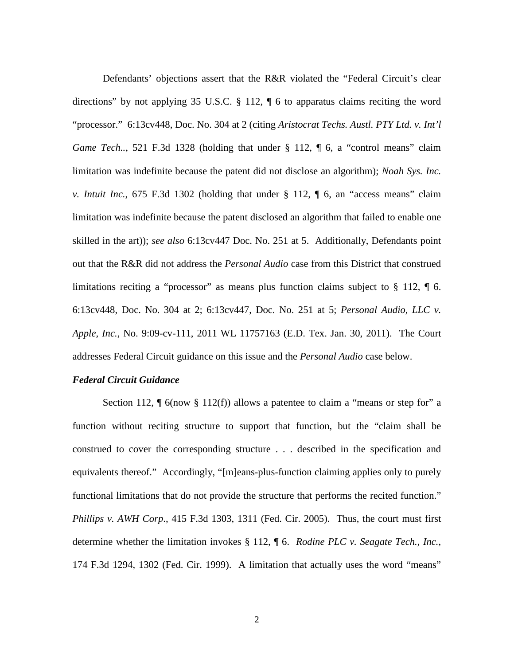Defendants' objections assert that the R&R violated the "Federal Circuit's clear directions" by not applying 35 U.S.C. § 112, ¶ 6 to apparatus claims reciting the word "processor." 6:13cv448, Doc. No. 304 at 2 (citing *Aristocrat Techs. Austl. PTY Ltd. v. Int'l Game Tech..*, 521 F.3d 1328 (holding that under § 112, ¶ 6, a "control means" claim limitation was indefinite because the patent did not disclose an algorithm); *Noah Sys. Inc. v. Intuit Inc.*, 675 F.3d 1302 (holding that under § 112, ¶ 6, an "access means" claim limitation was indefinite because the patent disclosed an algorithm that failed to enable one skilled in the art)); *see also* 6:13cv447 Doc. No. 251 at 5. Additionally, Defendants point out that the R&R did not address the *Personal Audio* case from this District that construed limitations reciting a "processor" as means plus function claims subject to § 112,  $\blacksquare$  6. 6:13cv448, Doc. No. 304 at 2; 6:13cv447, Doc. No. 251 at 5; *Personal Audio, LLC v. Apple, Inc.*, No. 9:09-cv-111, 2011 WL 11757163 (E.D. Tex. Jan. 30, 2011). The Court addresses Federal Circuit guidance on this issue and the *Personal Audio* case below.

### *Federal Circuit Guidance*

Section 112,  $\P$  6(now § 112(f)) allows a patentee to claim a "means or step for" a function without reciting structure to support that function, but the "claim shall be construed to cover the corresponding structure . . . described in the specification and equivalents thereof." Accordingly, "[m]eans-plus-function claiming applies only to purely functional limitations that do not provide the structure that performs the recited function." *Phillips v. AWH Corp*., 415 F.3d 1303, 1311 (Fed. Cir. 2005). Thus, the court must first determine whether the limitation invokes § 112, ¶ 6. *Rodine PLC v. Seagate Tech., Inc.*, 174 F.3d 1294, 1302 (Fed. Cir. 1999). A limitation that actually uses the word "means"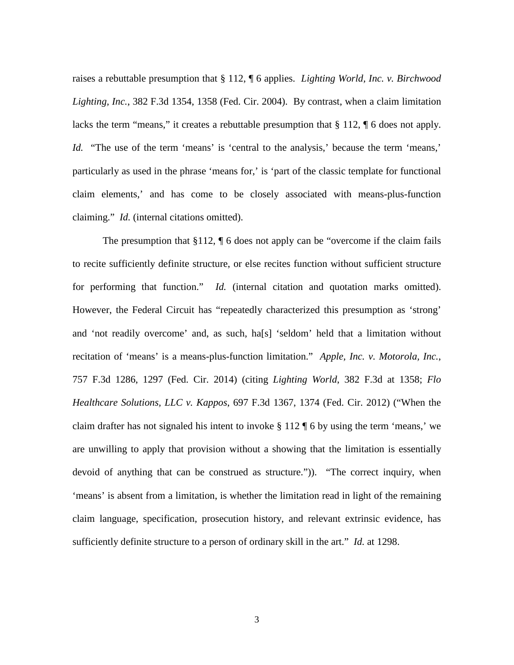raises a rebuttable presumption that § 112, ¶ 6 applies. *Lighting World, Inc. v. Birchwood Lighting, Inc.*, 382 F.3d 1354, 1358 (Fed. Cir. 2004). By contrast, when a claim limitation lacks the term "means," it creates a rebuttable presumption that § 112, ¶ 6 does not apply. *Id.* "The use of the term 'means' is 'central to the analysis,' because the term 'means,' particularly as used in the phrase 'means for,' is 'part of the classic template for functional claim elements,' and has come to be closely associated with means-plus-function claiming." *Id.* (internal citations omitted).

The presumption that §112,  $\P$  6 does not apply can be "overcome if the claim fails to recite sufficiently definite structure, or else recites function without sufficient structure for performing that function." *Id.* (internal citation and quotation marks omitted). However, the Federal Circuit has "repeatedly characterized this presumption as 'strong' and 'not readily overcome' and, as such, ha[s] 'seldom' held that a limitation without recitation of 'means' is a means-plus-function limitation." *Apple, Inc. v. Motorola, Inc.*, 757 F.3d 1286, 1297 (Fed. Cir. 2014) (citing *Lighting World*, 382 F.3d at 1358; *Flo Healthcare Solutions, LLC v. Kappos*, 697 F.3d 1367, 1374 (Fed. Cir. 2012) ("When the claim drafter has not signaled his intent to invoke § 112 ¶ 6 by using the term 'means,' we are unwilling to apply that provision without a showing that the limitation is essentially devoid of anything that can be construed as structure.")). "The correct inquiry, when 'means' is absent from a limitation, is whether the limitation read in light of the remaining claim language, specification, prosecution history, and relevant extrinsic evidence, has sufficiently definite structure to a person of ordinary skill in the art." *Id.* at 1298.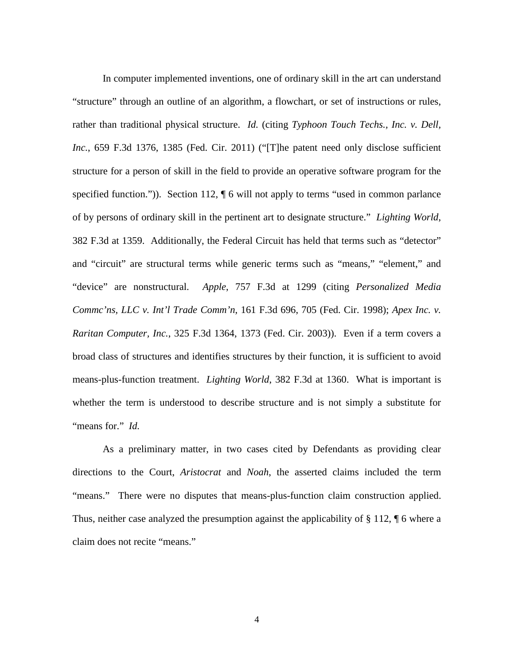In computer implemented inventions, one of ordinary skill in the art can understand "structure" through an outline of an algorithm, a flowchart, or set of instructions or rules, rather than traditional physical structure. *Id.* (citing *Typhoon Touch Techs., Inc. v. Dell, Inc.*, 659 F.3d 1376, 1385 (Fed. Cir. 2011) ("[T]he patent need only disclose sufficient structure for a person of skill in the field to provide an operative software program for the specified function.")). Section 112,  $\P$  6 will not apply to terms "used in common parlance of by persons of ordinary skill in the pertinent art to designate structure." *Lighting World*, 382 F.3d at 1359. Additionally, the Federal Circuit has held that terms such as "detector" and "circuit" are structural terms while generic terms such as "means," "element," and "device" are nonstructural. *Apple*, 757 F.3d at 1299 (citing *Personalized Media Commc'ns, LLC v. Int'l Trade Comm'n*, 161 F.3d 696, 705 (Fed. Cir. 1998); *Apex Inc. v. Raritan Computer, Inc.*, 325 F.3d 1364, 1373 (Fed. Cir. 2003)). Even if a term covers a broad class of structures and identifies structures by their function, it is sufficient to avoid means-plus-function treatment. *Lighting World*, 382 F.3d at 1360. What is important is whether the term is understood to describe structure and is not simply a substitute for "means for." *Id.*

As a preliminary matter, in two cases cited by Defendants as providing clear directions to the Court, *Aristocrat* and *Noah*, the asserted claims included the term "means." There were no disputes that means-plus-function claim construction applied. Thus, neither case analyzed the presumption against the applicability of  $\S 112$ ,  $\P 6$  where a claim does not recite "means."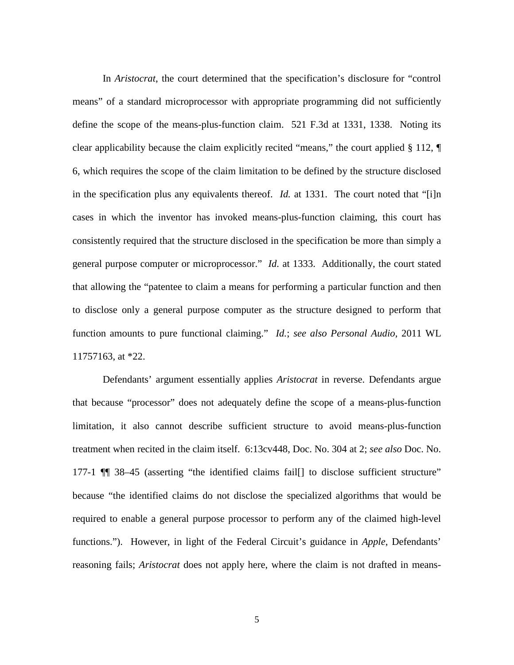In *Aristocrat*, the court determined that the specification's disclosure for "control means" of a standard microprocessor with appropriate programming did not sufficiently define the scope of the means-plus-function claim. 521 F.3d at 1331, 1338. Noting its clear applicability because the claim explicitly recited "means," the court applied § 112, ¶ 6, which requires the scope of the claim limitation to be defined by the structure disclosed in the specification plus any equivalents thereof. *Id.* at 1331. The court noted that "[i]n cases in which the inventor has invoked means-plus-function claiming, this court has consistently required that the structure disclosed in the specification be more than simply a general purpose computer or microprocessor." *Id.* at 1333. Additionally, the court stated that allowing the "patentee to claim a means for performing a particular function and then to disclose only a general purpose computer as the structure designed to perform that function amounts to pure functional claiming." *Id.*; *see also Personal Audio,* 2011 WL 11757163, at \*22.

Defendants' argument essentially applies *Aristocrat* in reverse. Defendants argue that because "processor" does not adequately define the scope of a means-plus-function limitation, it also cannot describe sufficient structure to avoid means-plus-function treatment when recited in the claim itself. 6:13cv448, Doc. No. 304 at 2; *see also* Doc. No. 177-1 ¶¶ 38–45 (asserting "the identified claims fail[] to disclose sufficient structure" because "the identified claims do not disclose the specialized algorithms that would be required to enable a general purpose processor to perform any of the claimed high-level functions."). However, in light of the Federal Circuit's guidance in *Apple*, Defendants' reasoning fails; *Aristocrat* does not apply here, where the claim is not drafted in means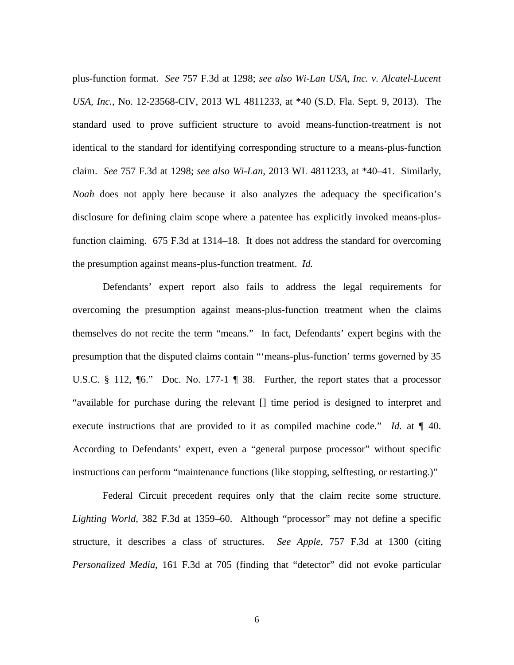plus-function format. *See* 757 F.3d at 1298; *see also Wi-Lan USA, Inc. v. Alcatel-Lucent USA, Inc.*, No. 12-23568-CIV, 2013 WL 4811233, at \*40 (S.D. Fla. Sept. 9, 2013). The standard used to prove sufficient structure to avoid means-function-treatment is not identical to the standard for identifying corresponding structure to a means-plus-function claim. *See* 757 F.3d at 1298; *see also Wi-Lan*, 2013 WL 4811233, at \*40–41. Similarly, *Noah* does not apply here because it also analyzes the adequacy the specification's disclosure for defining claim scope where a patentee has explicitly invoked means-plusfunction claiming. 675 F.3d at 1314–18. It does not address the standard for overcoming the presumption against means-plus-function treatment. *Id.*

Defendants' expert report also fails to address the legal requirements for overcoming the presumption against means-plus-function treatment when the claims themselves do not recite the term "means." In fact, Defendants' expert begins with the presumption that the disputed claims contain "'means-plus-function' terms governed by 35 U.S.C. § 112, ¶6." Doc. No. 177-1 ¶ 38. Further, the report states that a processor "available for purchase during the relevant [] time period is designed to interpret and execute instructions that are provided to it as compiled machine code." *Id.* at  $\P$  40. According to Defendants' expert, even a "general purpose processor" without specific instructions can perform "maintenance functions (like stopping, selftesting, or restarting.)"

Federal Circuit precedent requires only that the claim recite some structure. *Lighting World*, 382 F.3d at 1359–60. Although "processor" may not define a specific structure, it describes a class of structures. *See Apple*, 757 F.3d at 1300 (citing *Personalized Media*, 161 F.3d at 705 (finding that "detector" did not evoke particular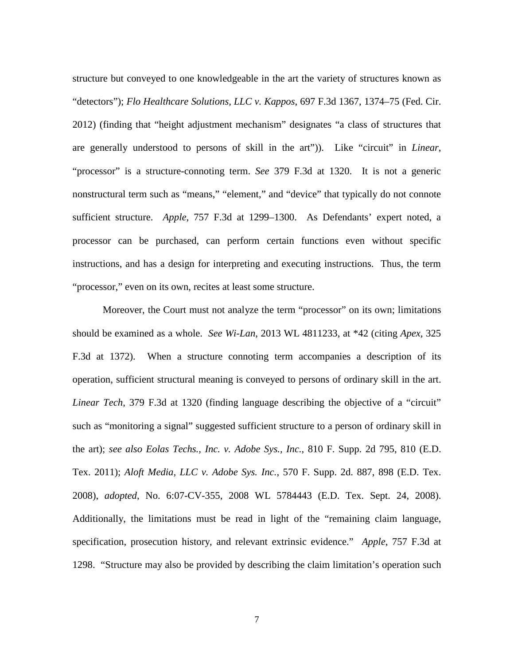structure but conveyed to one knowledgeable in the art the variety of structures known as "detectors"); *Flo Healthcare Solutions, LLC v. Kappos*, 697 F.3d 1367, 1374–75 (Fed. Cir. 2012) (finding that "height adjustment mechanism" designates "a class of structures that are generally understood to persons of skill in the art")). Like "circuit" in *Linear*, "processor" is a structure-connoting term. *See* 379 F.3d at 1320. It is not a generic nonstructural term such as "means," "element," and "device" that typically do not connote sufficient structure. *Apple*, 757 F.3d at 1299–1300. As Defendants' expert noted, a processor can be purchased, can perform certain functions even without specific instructions, and has a design for interpreting and executing instructions. Thus, the term "processor," even on its own, recites at least some structure.

Moreover, the Court must not analyze the term "processor" on its own; limitations should be examined as a whole. *See Wi-Lan*, 2013 WL 4811233, at \*42 (citing *Apex*, 325 F.3d at 1372). When a structure connoting term accompanies a description of its operation, sufficient structural meaning is conveyed to persons of ordinary skill in the art. *Linear Tech*, 379 F.3d at 1320 (finding language describing the objective of a "circuit" such as "monitoring a signal" suggested sufficient structure to a person of ordinary skill in the art); *see also Eolas Techs., Inc. v. Adobe Sys., Inc.*, 810 F. Supp. 2d 795, 810 (E.D. Tex. 2011); *Aloft Media, LLC v. Adobe Sys. Inc.*, 570 F. Supp. 2d. 887, 898 (E.D. Tex. 2008), *adopted*, No. 6:07-CV-355, 2008 WL 5784443 (E.D. Tex. Sept. 24, 2008). Additionally, the limitations must be read in light of the "remaining claim language, specification, prosecution history, and relevant extrinsic evidence." *Apple*, 757 F.3d at 1298. "Structure may also be provided by describing the claim limitation's operation such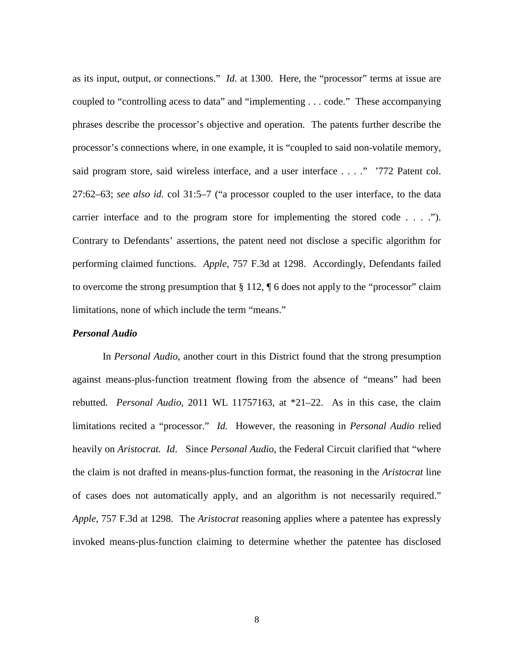as its input, output, or connections." *Id.* at 1300. Here, the "processor" terms at issue are coupled to "controlling acess to data" and "implementing . . . code." These accompanying phrases describe the processor's objective and operation. The patents further describe the processor's connections where, in one example, it is "coupled to said non-volatile memory, said program store, said wireless interface, and a user interface . . . ." '772 Patent col. 27:62–63; *see also id.* col 31:5–7 ("a processor coupled to the user interface, to the data carrier interface and to the program store for implementing the stored code . . . ."). Contrary to Defendants' assertions, the patent need not disclose a specific algorithm for performing claimed functions. *Apple*, 757 F.3d at 1298. Accordingly, Defendants failed to overcome the strong presumption that § 112, ¶ 6 does not apply to the "processor" claim limitations, none of which include the term "means."

#### *Personal Audio*

In *Personal Audio*, another court in this District found that the strong presumption against means-plus-function treatment flowing from the absence of "means" had been rebutted. *Personal Audio,* 2011 WL 11757163, at \*21–22. As in this case, the claim limitations recited a "processor." *Id.* However, the reasoning in *Personal Audio* relied heavily on *Aristocrat. Id*. Since *Personal Audio*, the Federal Circuit clarified that "where the claim is not drafted in means-plus-function format, the reasoning in the *Aristocrat* line of cases does not automatically apply, and an algorithm is not necessarily required." *Apple*, 757 F.3d at 1298. The *Aristocrat* reasoning applies where a patentee has expressly invoked means-plus-function claiming to determine whether the patentee has disclosed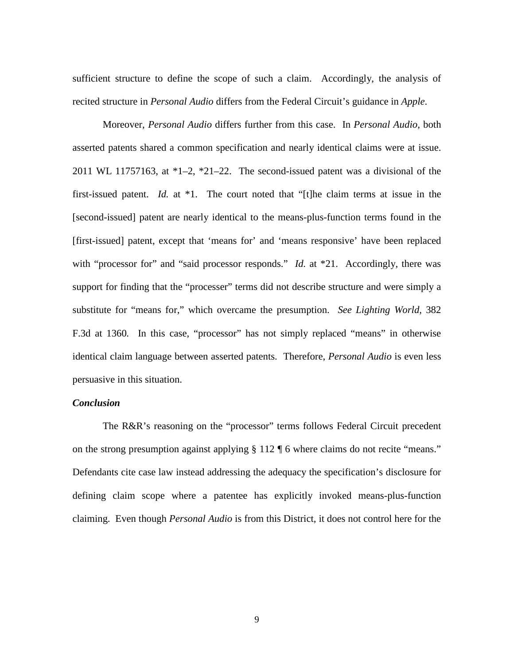sufficient structure to define the scope of such a claim. Accordingly, the analysis of recited structure in *Personal Audio* differs from the Federal Circuit's guidance in *Apple*.

Moreover, *Personal Audio* differs further from this case. In *Personal Audio*, both asserted patents shared a common specification and nearly identical claims were at issue. 2011 WL 11757163, at \*1–2, \*21–22. The second-issued patent was a divisional of the first-issued patent. *Id.* at \*1. The court noted that "[t]he claim terms at issue in the [second-issued] patent are nearly identical to the means-plus-function terms found in the [first-issued] patent, except that 'means for' and 'means responsive' have been replaced with "processor for" and "said processor responds." *Id.* at \*21. Accordingly, there was support for finding that the "processer" terms did not describe structure and were simply a substitute for "means for," which overcame the presumption. *See Lighting World*, 382 F.3d at 1360*.* In this case, "processor" has not simply replaced "means" in otherwise identical claim language between asserted patents. Therefore, *Personal Audio* is even less persuasive in this situation.

### *Conclusion*

The R&R's reasoning on the "processor" terms follows Federal Circuit precedent on the strong presumption against applying § 112 ¶ 6 where claims do not recite "means." Defendants cite case law instead addressing the adequacy the specification's disclosure for defining claim scope where a patentee has explicitly invoked means-plus-function claiming. Even though *Personal Audio* is from this District, it does not control here for the